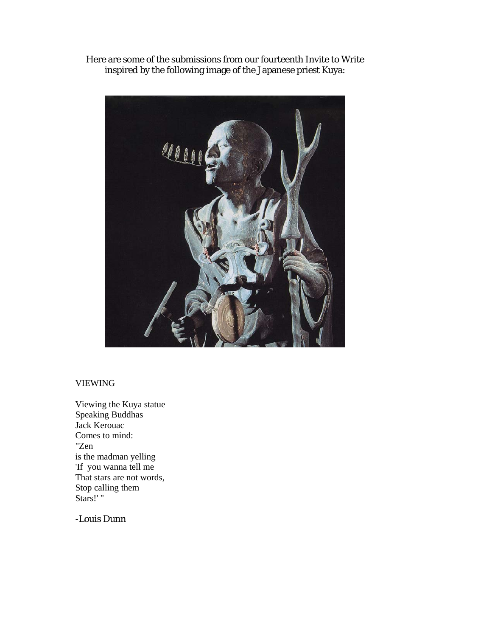Here are some of the submissions from our fourteenth Invite to Write inspired by the following image of the Japanese priest Kuya:



## VIEWING

Viewing the Kuya statue Speaking Buddhas Jack Kerouac Comes to mind: "Zen is the madman yelling 'If you wanna tell me That stars are not words, Stop calling them Stars!' "

-Louis Dunn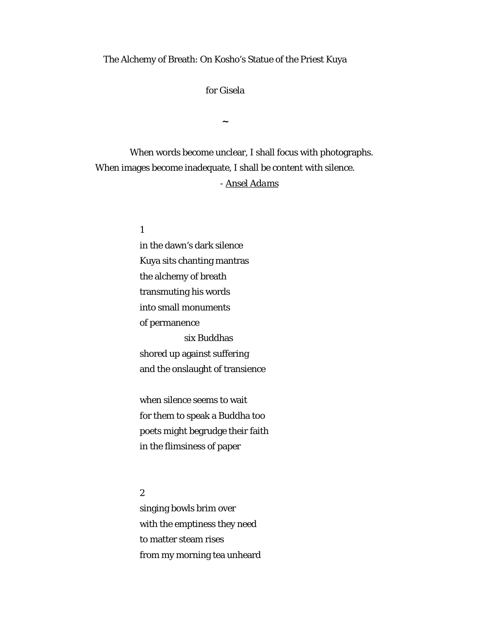## The Alchemy of Breath: On Kosho's Statue of the Priest Kuya

for Gisela

**~** 

 When words become unclear, I shall focus with photographs. When images become inadequate, I shall be content with silence. *- Ansel Adams*

1

in the dawn's dark silence Kuya sits chanting mantras the alchemy of breath transmuting his words into small monuments of permanence six Buddhas shored up against suffering and the onslaught of transience

when silence seems to wait for them to speak a Buddha too poets might begrudge their faith in the flimsiness of paper

2

singing bowls brim over with the emptiness they need to matter steam rises from my morning tea unheard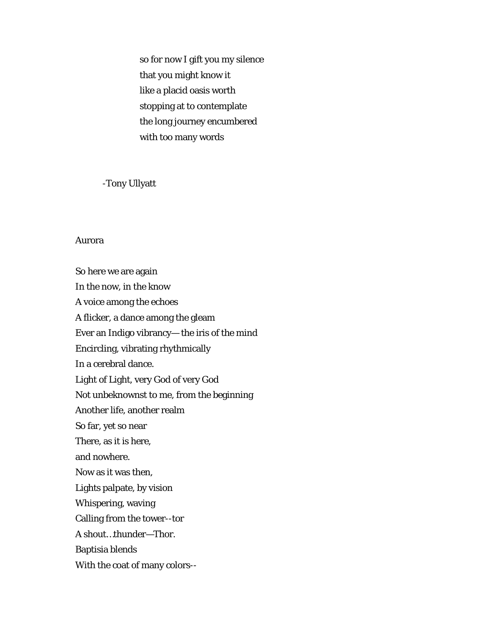so for now I gift you my silence that you might know it like a placid oasis worth stopping at to contemplate the long journey encumbered with too many words

-Tony Ullyatt

## Aurora

So here we are again In the now, in the know A voice among the echoes A flicker, a dance among the gleam Ever an Indigo vibrancy— the iris of the mind Encircling, vibrating rhythmically In a cerebral dance. Light of Light, very God of very God Not unbeknownst to me, from the beginning Another life, another realm So far, yet so near There, as it is here, and nowhere. Now as it was then, Lights palpate, by vision Whispering, waving Calling from the tower--tor A shout…thunder—Thor. Baptisia blends With the coat of many colors--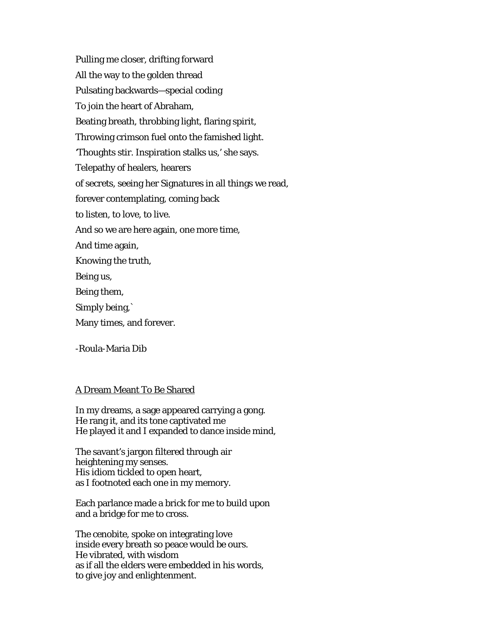Pulling me closer, drifting forward All the way to the golden thread Pulsating backwards—special coding To join the heart of Abraham, Beating breath, throbbing light, flaring spirit, Throwing crimson fuel onto the famished light. 'Thoughts stir. Inspiration stalks us,' she says. Telepathy of healers, hearers of secrets, seeing her Signatures in all things we read, forever contemplating, coming back to listen, to love, to live. And so we are here again, one more time, And time again, Knowing the truth, Being us, Being them, Simply being,` Many times, and forever.

-Roula-Maria Dib

## A Dream Meant To Be Shared

In my dreams, a sage appeared carrying a gong. He rang it, and its tone captivated me He played it and I expanded to dance inside mind,

The savant's jargon filtered through air heightening my senses. His idiom tickled to open heart, as I footnoted each one in my memory.

Each parlance made a brick for me to build upon and a bridge for me to cross.

The cenobite, spoke on integrating love inside every breath so peace would be ours. He vibrated, with wisdom as if all the elders were embedded in his words, to give joy and enlightenment.